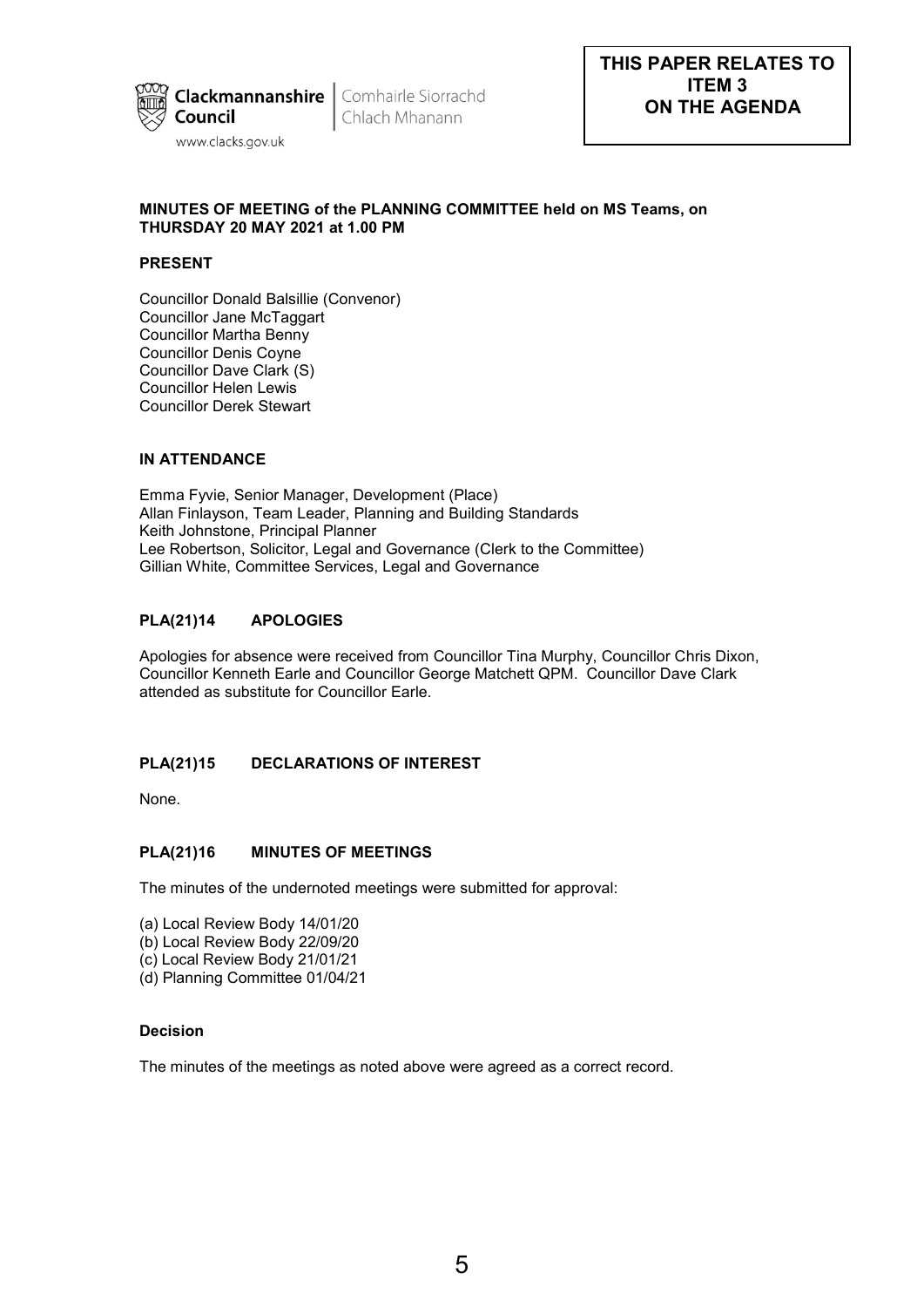

Chlach Mhanann

# **MINUTES OF MEETING of the PLANNING COMMITTEE held on MS Teams, on THURSDAY 20 MAY 2021 at 1.00 PM**

# **PRESENT**

Councillor Donald Balsillie (Convenor) Councillor Jane McTaggart Councillor Martha Benny Councillor Denis Coyne Councillor Dave Clark (S) Councillor Helen Lewis Councillor Derek Stewart

# **IN ATTENDANCE**

Emma Fyvie, Senior Manager, Development (Place) Allan Finlayson, Team Leader, Planning and Building Standards Keith Johnstone, Principal Planner Lee Robertson, Solicitor, Legal and Governance (Clerk to the Committee) Gillian White, Committee Services, Legal and Governance

# **PLA(21)14 APOLOGIES**

Apologies for absence were received from Councillor Tina Murphy, Councillor Chris Dixon, Councillor Kenneth Earle and Councillor George Matchett QPM. Councillor Dave Clark attended as substitute for Councillor Earle.

# **PLA(21)15 DECLARATIONS OF INTEREST**

None.

## **PLA(21)16 MINUTES OF MEETINGS**

The minutes of the undernoted meetings were submitted for approval:

- (a) Local Review Body 14/01/20
- (b) Local Review Body 22/09/20
- (c) Local Review Body 21/01/21
- (d) Planning Committee 01/04/21

## **Decision**

The minutes of the meetings as noted above were agreed as a correct record.